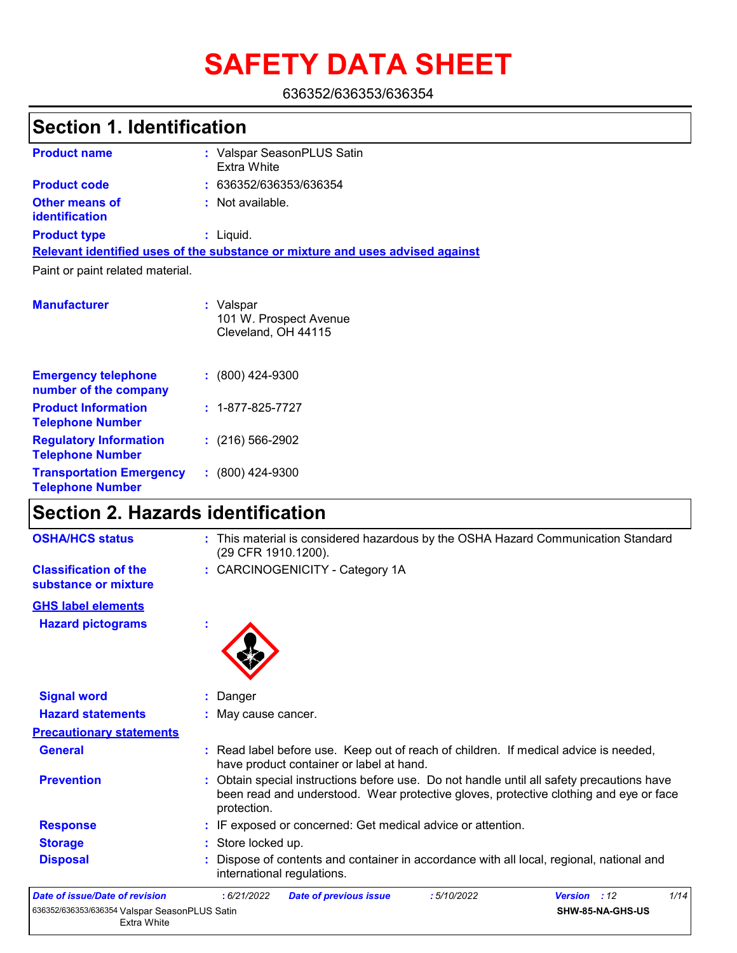# **SAFETY DATA SHEET**

636352/636353/636354

## **Section 1. Identification**

| <b>Product name</b>                            | : Valspar SeasonPLUS Satin<br>Extra White                                     |
|------------------------------------------------|-------------------------------------------------------------------------------|
| <b>Product code</b>                            | : 636352/636353/636354                                                        |
| <b>Other means of</b><br><b>identification</b> | : Not available.                                                              |
| <b>Product type</b>                            | $:$ Liquid.                                                                   |
|                                                | Relevant identified uses of the substance or mixture and uses advised against |
| Paint or paint related material.               |                                                                               |
|                                                |                                                                               |

| <b>Manufacturer</b>                                        | : Valspar<br>101 W. Prospect Avenue<br>Cleveland, OH 44115 |  |
|------------------------------------------------------------|------------------------------------------------------------|--|
| <b>Emergency telephone</b><br>number of the company        | $: (800)$ 424-9300                                         |  |
| <b>Product Information</b><br><b>Telephone Number</b>      | $: 1 - 877 - 825 - 7727$                                   |  |
| <b>Regulatory Information</b><br><b>Telephone Number</b>   | $: (216) 566 - 2902$                                       |  |
| <b>Transportation Emergency</b><br><b>Telephone Number</b> | $: (800)$ 424-9300                                         |  |

## **Section 2. Hazards identification**

| <b>OSHA/HCS status</b>                                       | : This material is considered hazardous by the OSHA Hazard Communication Standard<br>(29 CFR 1910.1200).                                                                                          |
|--------------------------------------------------------------|---------------------------------------------------------------------------------------------------------------------------------------------------------------------------------------------------|
| <b>Classification of the</b><br>substance or mixture         | : CARCINOGENICITY - Category 1A                                                                                                                                                                   |
| <b>GHS label elements</b>                                    |                                                                                                                                                                                                   |
| <b>Hazard pictograms</b>                                     |                                                                                                                                                                                                   |
| <b>Signal word</b>                                           | Danger                                                                                                                                                                                            |
| <b>Hazard statements</b>                                     | : May cause cancer.                                                                                                                                                                               |
| <b>Precautionary statements</b>                              |                                                                                                                                                                                                   |
| <b>General</b>                                               | : Read label before use. Keep out of reach of children. If medical advice is needed,<br>have product container or label at hand.                                                                  |
| <b>Prevention</b>                                            | : Obtain special instructions before use. Do not handle until all safety precautions have<br>been read and understood. Wear protective gloves, protective clothing and eye or face<br>protection. |
| <b>Response</b>                                              | : IF exposed or concerned: Get medical advice or attention.                                                                                                                                       |
| <b>Storage</b>                                               | : Store locked up.                                                                                                                                                                                |
| <b>Disposal</b>                                              | Dispose of contents and container in accordance with all local, regional, national and<br>international regulations.                                                                              |
| Date of issue/Date of revision                               | 1/14<br>: 6/21/2022<br>:5/10/2022<br>Version : 12<br><b>Date of previous issue</b>                                                                                                                |
| 636352/636353/636354 Valspar SeasonPLUS Satin<br>Extra White | SHW-85-NA-GHS-US                                                                                                                                                                                  |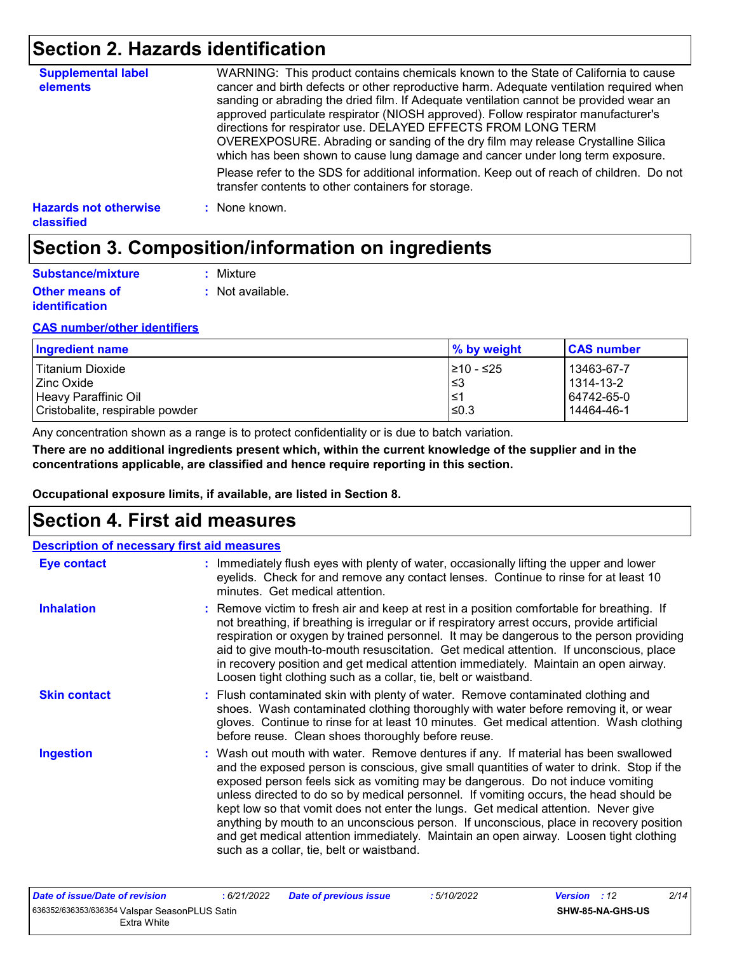## **Section 2. Hazards identification**

| <b>Supplemental label</b><br>elements      | WARNING: This product contains chemicals known to the State of California to cause<br>cancer and birth defects or other reproductive harm. Adequate ventilation required when<br>sanding or abrading the dried film. If Adequate ventilation cannot be provided wear an<br>approved particulate respirator (NIOSH approved). Follow respirator manufacturer's<br>directions for respirator use. DELAYED EFFECTS FROM LONG TERM<br>OVEREXPOSURE. Abrading or sanding of the dry film may release Crystalline Silica<br>which has been shown to cause lung damage and cancer under long term exposure. |
|--------------------------------------------|------------------------------------------------------------------------------------------------------------------------------------------------------------------------------------------------------------------------------------------------------------------------------------------------------------------------------------------------------------------------------------------------------------------------------------------------------------------------------------------------------------------------------------------------------------------------------------------------------|
|                                            | Please refer to the SDS for additional information. Keep out of reach of children. Do not<br>transfer contents to other containers for storage.                                                                                                                                                                                                                                                                                                                                                                                                                                                      |
| <b>Hazards not otherwise</b><br>classified | : None known.                                                                                                                                                                                                                                                                                                                                                                                                                                                                                                                                                                                        |

## **Section 3. Composition/information on ingredients**

| <b>Substance/mixture</b>                       | : Mixture        |
|------------------------------------------------|------------------|
| <b>Other means of</b><br><i>identification</i> | : Not available. |

#### **CAS number/other identifiers**

| Ingredient name                 | % by weight | <b>CAS number</b> |
|---------------------------------|-------------|-------------------|
| Titanium Dioxide                | 1≥10 - ≤25  | 13463-67-7        |
| l Zinc Oxide                    | l≤3         | 1314-13-2         |
| Heavy Paraffinic Oil            | ∣≤1         | 64742-65-0        |
| Cristobalite, respirable powder | $\leq 0.3$  | 14464-46-1        |

Any concentration shown as a range is to protect confidentiality or is due to batch variation.

**There are no additional ingredients present which, within the current knowledge of the supplier and in the concentrations applicable, are classified and hence require reporting in this section.**

**Occupational exposure limits, if available, are listed in Section 8.**

### **Section 4. First aid measures**

| <b>Description of necessary first aid measures</b> |                                                                                                                                                                                                                                                                                                                                                                                                                                                                                                                                                                                                                                                                                   |
|----------------------------------------------------|-----------------------------------------------------------------------------------------------------------------------------------------------------------------------------------------------------------------------------------------------------------------------------------------------------------------------------------------------------------------------------------------------------------------------------------------------------------------------------------------------------------------------------------------------------------------------------------------------------------------------------------------------------------------------------------|
| <b>Eye contact</b>                                 | : Immediately flush eyes with plenty of water, occasionally lifting the upper and lower<br>eyelids. Check for and remove any contact lenses. Continue to rinse for at least 10<br>minutes. Get medical attention.                                                                                                                                                                                                                                                                                                                                                                                                                                                                 |
| <b>Inhalation</b>                                  | : Remove victim to fresh air and keep at rest in a position comfortable for breathing. If<br>not breathing, if breathing is irregular or if respiratory arrest occurs, provide artificial<br>respiration or oxygen by trained personnel. It may be dangerous to the person providing<br>aid to give mouth-to-mouth resuscitation. Get medical attention. If unconscious, place<br>in recovery position and get medical attention immediately. Maintain an open airway.<br>Loosen tight clothing such as a collar, tie, belt or waistband.                                                                                                                                         |
| <b>Skin contact</b>                                | : Flush contaminated skin with plenty of water. Remove contaminated clothing and<br>shoes. Wash contaminated clothing thoroughly with water before removing it, or wear<br>gloves. Continue to rinse for at least 10 minutes. Get medical attention. Wash clothing<br>before reuse. Clean shoes thoroughly before reuse.                                                                                                                                                                                                                                                                                                                                                          |
| <b>Ingestion</b>                                   | : Wash out mouth with water. Remove dentures if any. If material has been swallowed<br>and the exposed person is conscious, give small quantities of water to drink. Stop if the<br>exposed person feels sick as vomiting may be dangerous. Do not induce vomiting<br>unless directed to do so by medical personnel. If vomiting occurs, the head should be<br>kept low so that vomit does not enter the lungs. Get medical attention. Never give<br>anything by mouth to an unconscious person. If unconscious, place in recovery position<br>and get medical attention immediately. Maintain an open airway. Loosen tight clothing<br>such as a collar, tie, belt or waistband. |

| Date of issue/Date of revision                | :6/21/2022 |
|-----------------------------------------------|------------|
| 636352/636353/636354 Valspar SeasonPLUS Satin |            |
| Extra White                                   |            |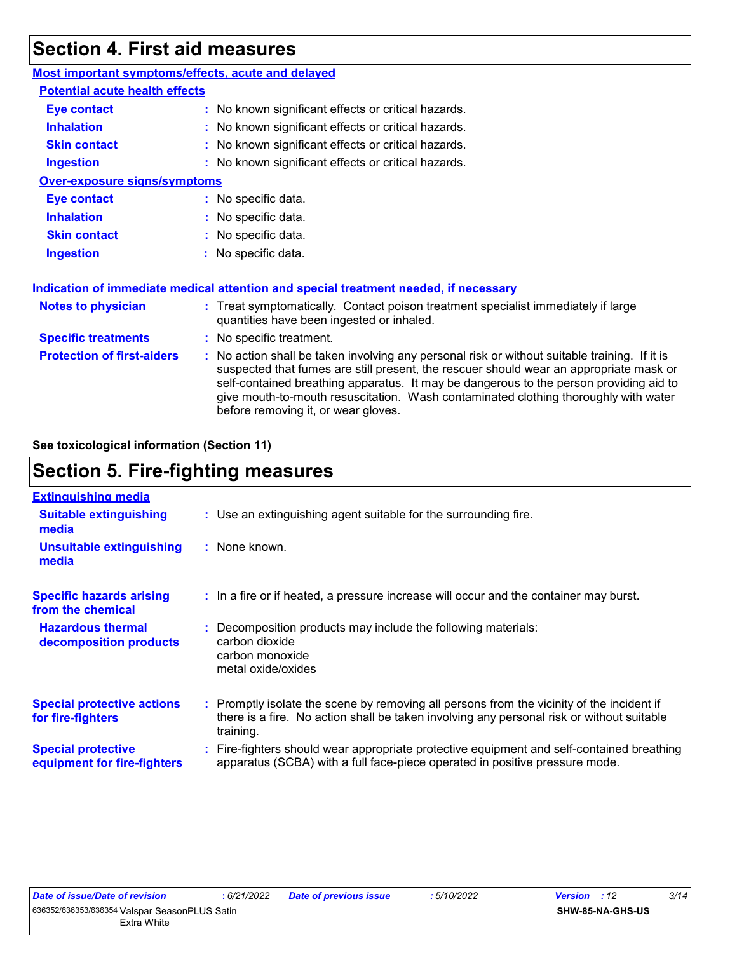## **Section 4. First aid measures**

| Most important symptoms/effects, acute and delayed |                                                                                                                                                                                                                                                                                                                                                                                                                 |
|----------------------------------------------------|-----------------------------------------------------------------------------------------------------------------------------------------------------------------------------------------------------------------------------------------------------------------------------------------------------------------------------------------------------------------------------------------------------------------|
| <b>Potential acute health effects</b>              |                                                                                                                                                                                                                                                                                                                                                                                                                 |
| <b>Eye contact</b>                                 | : No known significant effects or critical hazards.                                                                                                                                                                                                                                                                                                                                                             |
| <b>Inhalation</b>                                  | : No known significant effects or critical hazards.                                                                                                                                                                                                                                                                                                                                                             |
| <b>Skin contact</b>                                | : No known significant effects or critical hazards.                                                                                                                                                                                                                                                                                                                                                             |
| <b>Ingestion</b>                                   | : No known significant effects or critical hazards.                                                                                                                                                                                                                                                                                                                                                             |
| <b>Over-exposure signs/symptoms</b>                |                                                                                                                                                                                                                                                                                                                                                                                                                 |
| <b>Eye contact</b>                                 | : No specific data.                                                                                                                                                                                                                                                                                                                                                                                             |
| <b>Inhalation</b>                                  | : No specific data.                                                                                                                                                                                                                                                                                                                                                                                             |
| <b>Skin contact</b>                                | : No specific data.                                                                                                                                                                                                                                                                                                                                                                                             |
| <b>Ingestion</b>                                   | : No specific data.                                                                                                                                                                                                                                                                                                                                                                                             |
|                                                    | Indication of immediate medical attention and special treatment needed, if necessary                                                                                                                                                                                                                                                                                                                            |
| <b>Notes to physician</b>                          | : Treat symptomatically. Contact poison treatment specialist immediately if large<br>quantities have been ingested or inhaled.                                                                                                                                                                                                                                                                                  |
| <b>Specific treatments</b>                         | : No specific treatment.                                                                                                                                                                                                                                                                                                                                                                                        |
| <b>Protection of first-aiders</b>                  | : No action shall be taken involving any personal risk or without suitable training. If it is<br>suspected that fumes are still present, the rescuer should wear an appropriate mask or<br>self-contained breathing apparatus. It may be dangerous to the person providing aid to<br>give mouth-to-mouth resuscitation. Wash contaminated clothing thoroughly with water<br>before removing it, or wear gloves. |

**See toxicological information (Section 11)**

## **Section 5. Fire-fighting measures**

| <b>Extinguishing media</b>                               |                                                                                                                                                                                                     |
|----------------------------------------------------------|-----------------------------------------------------------------------------------------------------------------------------------------------------------------------------------------------------|
| <b>Suitable extinguishing</b><br>media                   | : Use an extinguishing agent suitable for the surrounding fire.                                                                                                                                     |
| <b>Unsuitable extinguishing</b><br>media                 | $:$ None known.                                                                                                                                                                                     |
| <b>Specific hazards arising</b><br>from the chemical     | : In a fire or if heated, a pressure increase will occur and the container may burst.                                                                                                               |
| <b>Hazardous thermal</b><br>decomposition products       | : Decomposition products may include the following materials:<br>carbon dioxide<br>carbon monoxide<br>metal oxide/oxides                                                                            |
| <b>Special protective actions</b><br>for fire-fighters   | : Promptly isolate the scene by removing all persons from the vicinity of the incident if<br>there is a fire. No action shall be taken involving any personal risk or without suitable<br>training. |
| <b>Special protective</b><br>equipment for fire-fighters | : Fire-fighters should wear appropriate protective equipment and self-contained breathing<br>apparatus (SCBA) with a full face-piece operated in positive pressure mode.                            |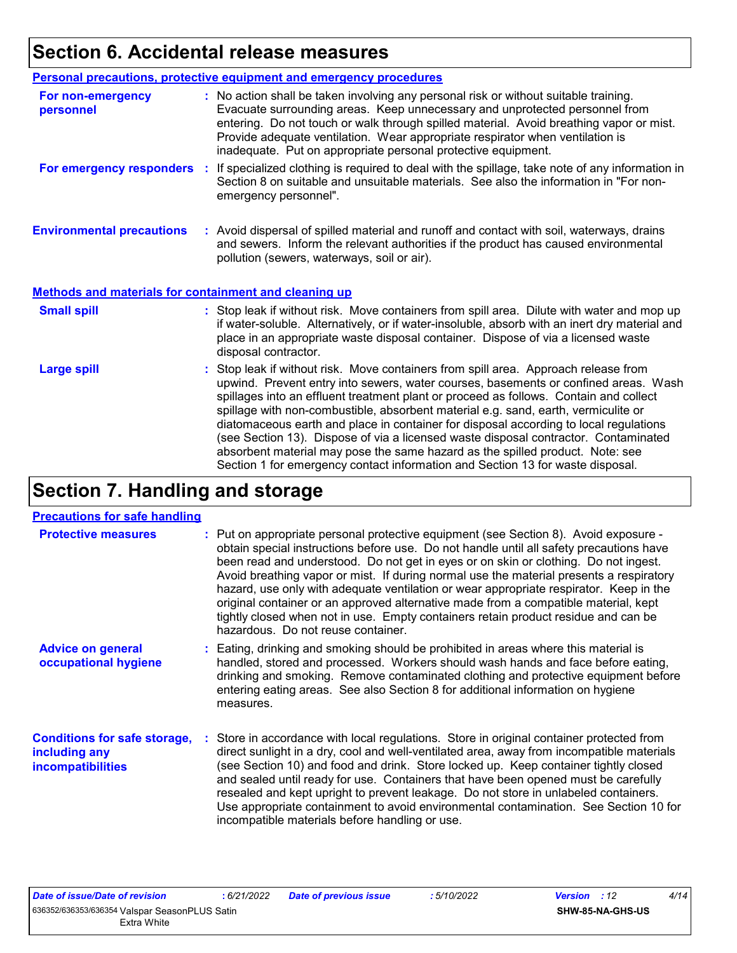## **Section 6. Accidental release measures**

|                                                              | Personal precautions, protective equipment and emergency procedures                                                                                                                                                                                                                                                                                                                                                                                                                                                                                                                                                                                                                                          |
|--------------------------------------------------------------|--------------------------------------------------------------------------------------------------------------------------------------------------------------------------------------------------------------------------------------------------------------------------------------------------------------------------------------------------------------------------------------------------------------------------------------------------------------------------------------------------------------------------------------------------------------------------------------------------------------------------------------------------------------------------------------------------------------|
| For non-emergency<br>personnel                               | : No action shall be taken involving any personal risk or without suitable training.<br>Evacuate surrounding areas. Keep unnecessary and unprotected personnel from<br>entering. Do not touch or walk through spilled material. Avoid breathing vapor or mist.<br>Provide adequate ventilation. Wear appropriate respirator when ventilation is<br>inadequate. Put on appropriate personal protective equipment.                                                                                                                                                                                                                                                                                             |
| For emergency responders                                     | : If specialized clothing is required to deal with the spillage, take note of any information in<br>Section 8 on suitable and unsuitable materials. See also the information in "For non-<br>emergency personnel".                                                                                                                                                                                                                                                                                                                                                                                                                                                                                           |
| <b>Environmental precautions</b>                             | : Avoid dispersal of spilled material and runoff and contact with soil, waterways, drains<br>and sewers. Inform the relevant authorities if the product has caused environmental<br>pollution (sewers, waterways, soil or air).                                                                                                                                                                                                                                                                                                                                                                                                                                                                              |
| <b>Methods and materials for containment and cleaning up</b> |                                                                                                                                                                                                                                                                                                                                                                                                                                                                                                                                                                                                                                                                                                              |
| <b>Small spill</b>                                           | : Stop leak if without risk. Move containers from spill area. Dilute with water and mop up<br>if water-soluble. Alternatively, or if water-insoluble, absorb with an inert dry material and<br>place in an appropriate waste disposal container. Dispose of via a licensed waste<br>disposal contractor.                                                                                                                                                                                                                                                                                                                                                                                                     |
| <b>Large spill</b>                                           | : Stop leak if without risk. Move containers from spill area. Approach release from<br>upwind. Prevent entry into sewers, water courses, basements or confined areas. Wash<br>spillages into an effluent treatment plant or proceed as follows. Contain and collect<br>spillage with non-combustible, absorbent material e.g. sand, earth, vermiculite or<br>diatomaceous earth and place in container for disposal according to local regulations<br>(see Section 13). Dispose of via a licensed waste disposal contractor. Contaminated<br>absorbent material may pose the same hazard as the spilled product. Note: see<br>Section 1 for emergency contact information and Section 13 for waste disposal. |

## **Section 7. Handling and storage**

#### **Precautions for safe handling**

| <b>Protective measures</b>                                                       | : Put on appropriate personal protective equipment (see Section 8). Avoid exposure -<br>obtain special instructions before use. Do not handle until all safety precautions have<br>been read and understood. Do not get in eyes or on skin or clothing. Do not ingest.<br>Avoid breathing vapor or mist. If during normal use the material presents a respiratory<br>hazard, use only with adequate ventilation or wear appropriate respirator. Keep in the<br>original container or an approved alternative made from a compatible material, kept<br>tightly closed when not in use. Empty containers retain product residue and can be<br>hazardous. Do not reuse container. |
|----------------------------------------------------------------------------------|--------------------------------------------------------------------------------------------------------------------------------------------------------------------------------------------------------------------------------------------------------------------------------------------------------------------------------------------------------------------------------------------------------------------------------------------------------------------------------------------------------------------------------------------------------------------------------------------------------------------------------------------------------------------------------|
| <b>Advice on general</b><br>occupational hygiene                                 | : Eating, drinking and smoking should be prohibited in areas where this material is<br>handled, stored and processed. Workers should wash hands and face before eating,<br>drinking and smoking. Remove contaminated clothing and protective equipment before<br>entering eating areas. See also Section 8 for additional information on hygiene<br>measures.                                                                                                                                                                                                                                                                                                                  |
| <b>Conditions for safe storage,</b><br>including any<br><i>incompatibilities</i> | : Store in accordance with local regulations. Store in original container protected from<br>direct sunlight in a dry, cool and well-ventilated area, away from incompatible materials<br>(see Section 10) and food and drink. Store locked up. Keep container tightly closed<br>and sealed until ready for use. Containers that have been opened must be carefully<br>resealed and kept upright to prevent leakage. Do not store in unlabeled containers.<br>Use appropriate containment to avoid environmental contamination. See Section 10 for<br>incompatible materials before handling or use.                                                                            |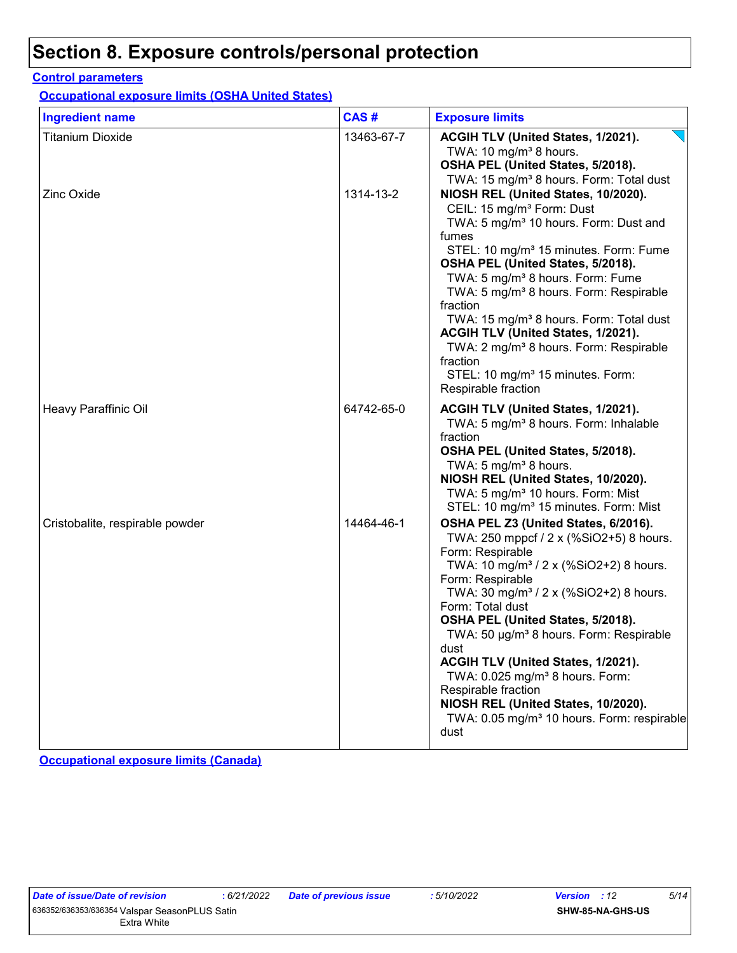## **Section 8. Exposure controls/personal protection**

#### **Control parameters**

**Occupational exposure limits (OSHA United States)**

| <b>Ingredient name</b>          | CAS#       | <b>Exposure limits</b>                                                                                                                                                                                                                                                                                                                                                                                                                                                                                                                                                                       |
|---------------------------------|------------|----------------------------------------------------------------------------------------------------------------------------------------------------------------------------------------------------------------------------------------------------------------------------------------------------------------------------------------------------------------------------------------------------------------------------------------------------------------------------------------------------------------------------------------------------------------------------------------------|
| <b>Titanium Dioxide</b>         | 13463-67-7 | ACGIH TLV (United States, 1/2021).<br>TWA: 10 $mg/m3$ 8 hours.<br>OSHA PEL (United States, 5/2018).<br>TWA: 15 mg/m <sup>3</sup> 8 hours. Form: Total dust                                                                                                                                                                                                                                                                                                                                                                                                                                   |
| <b>Zinc Oxide</b>               | 1314-13-2  | NIOSH REL (United States, 10/2020).<br>CEIL: 15 mg/m <sup>3</sup> Form: Dust<br>TWA: 5 mg/m <sup>3</sup> 10 hours. Form: Dust and<br>fumes<br>STEL: 10 mg/m <sup>3</sup> 15 minutes. Form: Fume<br>OSHA PEL (United States, 5/2018).<br>TWA: 5 mg/m <sup>3</sup> 8 hours. Form: Fume<br>TWA: 5 mg/m <sup>3</sup> 8 hours. Form: Respirable<br>fraction<br>TWA: 15 mg/m <sup>3</sup> 8 hours. Form: Total dust<br>ACGIH TLV (United States, 1/2021).<br>TWA: 2 mg/m <sup>3</sup> 8 hours. Form: Respirable<br>fraction<br>STEL: 10 mg/m <sup>3</sup> 15 minutes. Form:<br>Respirable fraction |
| Heavy Paraffinic Oil            | 64742-65-0 | ACGIH TLV (United States, 1/2021).<br>TWA: 5 mg/m <sup>3</sup> 8 hours. Form: Inhalable<br>fraction<br>OSHA PEL (United States, 5/2018).<br>TWA: 5 mg/m <sup>3</sup> 8 hours.<br>NIOSH REL (United States, 10/2020).<br>TWA: 5 mg/m <sup>3</sup> 10 hours. Form: Mist<br>STEL: 10 mg/m <sup>3</sup> 15 minutes. Form: Mist                                                                                                                                                                                                                                                                   |
| Cristobalite, respirable powder | 14464-46-1 | OSHA PEL Z3 (United States, 6/2016).<br>TWA: 250 mppcf / 2 x (%SiO2+5) 8 hours.<br>Form: Respirable<br>TWA: 10 mg/m <sup>3</sup> / 2 x (%SiO2+2) 8 hours.<br>Form: Respirable<br>TWA: 30 mg/m <sup>3</sup> / 2 x (%SiO2+2) 8 hours.<br>Form: Total dust<br>OSHA PEL (United States, 5/2018).<br>TWA: 50 µg/m <sup>3</sup> 8 hours. Form: Respirable<br>dust<br>ACGIH TLV (United States, 1/2021).<br>TWA: 0.025 mg/m <sup>3</sup> 8 hours. Form:<br>Respirable fraction<br>NIOSH REL (United States, 10/2020).<br>TWA: 0.05 mg/m <sup>3</sup> 10 hours. Form: respirable<br>dust             |

**Occupational exposure limits (Canada)**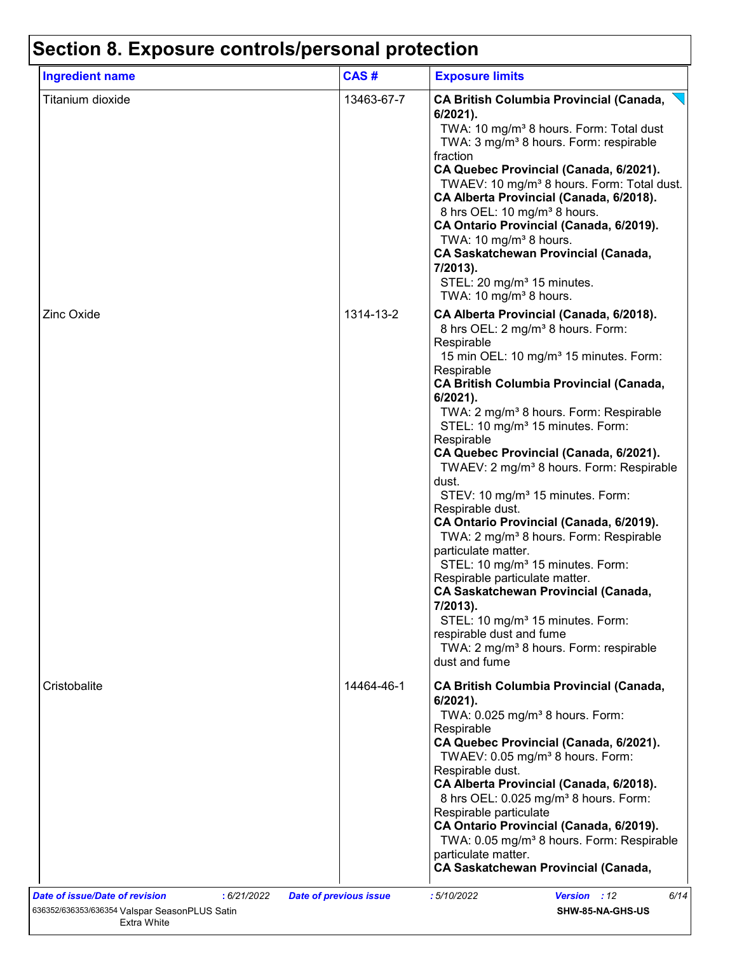## **Section 8. Exposure controls/personal protection**

| <b>Ingredient name</b> | CAS#       | <b>Exposure limits</b>                                                                                                                                                                                                                                                                                                                                                                                                                                                                                                                                                                                                                                                                                                                                                                                                                                                                                                                                             |
|------------------------|------------|--------------------------------------------------------------------------------------------------------------------------------------------------------------------------------------------------------------------------------------------------------------------------------------------------------------------------------------------------------------------------------------------------------------------------------------------------------------------------------------------------------------------------------------------------------------------------------------------------------------------------------------------------------------------------------------------------------------------------------------------------------------------------------------------------------------------------------------------------------------------------------------------------------------------------------------------------------------------|
| Titanium dioxide       | 13463-67-7 | <b>CA British Columbia Provincial (Canada,</b><br>$6/2021$ ).<br>TWA: 10 mg/m <sup>3</sup> 8 hours. Form: Total dust<br>TWA: 3 mg/m <sup>3</sup> 8 hours. Form: respirable<br>fraction<br>CA Quebec Provincial (Canada, 6/2021).<br>TWAEV: 10 mg/m <sup>3</sup> 8 hours. Form: Total dust.<br>CA Alberta Provincial (Canada, 6/2018).<br>8 hrs OEL: 10 mg/m <sup>3</sup> 8 hours.<br>CA Ontario Provincial (Canada, 6/2019).<br>TWA: 10 mg/m <sup>3</sup> 8 hours.<br><b>CA Saskatchewan Provincial (Canada,</b><br>7/2013).<br>STEL: 20 mg/m <sup>3</sup> 15 minutes.<br>TWA: 10 mg/m <sup>3</sup> 8 hours.                                                                                                                                                                                                                                                                                                                                                       |
| <b>Zinc Oxide</b>      | 1314-13-2  | CA Alberta Provincial (Canada, 6/2018).<br>8 hrs OEL: 2 mg/m <sup>3</sup> 8 hours. Form:<br>Respirable<br>15 min OEL: 10 mg/m <sup>3</sup> 15 minutes. Form:<br>Respirable<br><b>CA British Columbia Provincial (Canada,</b><br>6/2021).<br>TWA: 2 mg/m <sup>3</sup> 8 hours. Form: Respirable<br>STEL: 10 mg/m <sup>3</sup> 15 minutes. Form:<br>Respirable<br>CA Quebec Provincial (Canada, 6/2021).<br>TWAEV: 2 mg/m <sup>3</sup> 8 hours. Form: Respirable<br>dust.<br>STEV: 10 mg/m <sup>3</sup> 15 minutes. Form:<br>Respirable dust.<br>CA Ontario Provincial (Canada, 6/2019).<br>TWA: 2 mg/m <sup>3</sup> 8 hours. Form: Respirable<br>particulate matter.<br>STEL: 10 mg/m <sup>3</sup> 15 minutes. Form:<br>Respirable particulate matter.<br><b>CA Saskatchewan Provincial (Canada,</b><br>7/2013).<br>STEL: 10 mg/m <sup>3</sup> 15 minutes. Form:<br>respirable dust and fume<br>TWA: 2 mg/m <sup>3</sup> 8 hours. Form: respirable<br>dust and fume |
| Cristobalite           | 14464-46-1 | <b>CA British Columbia Provincial (Canada,</b><br>6/2021).<br>TWA: 0.025 mg/m <sup>3</sup> 8 hours. Form:<br>Respirable<br>CA Quebec Provincial (Canada, 6/2021).<br>TWAEV: 0.05 mg/m <sup>3</sup> 8 hours. Form:<br>Respirable dust.<br>CA Alberta Provincial (Canada, 6/2018).<br>8 hrs OEL: 0.025 mg/m <sup>3</sup> 8 hours. Form:<br>Respirable particulate<br>CA Ontario Provincial (Canada, 6/2019).<br>TWA: 0.05 mg/m <sup>3</sup> 8 hours. Form: Respirable<br>particulate matter.<br><b>CA Saskatchewan Provincial (Canada,</b>                                                                                                                                                                                                                                                                                                                                                                                                                           |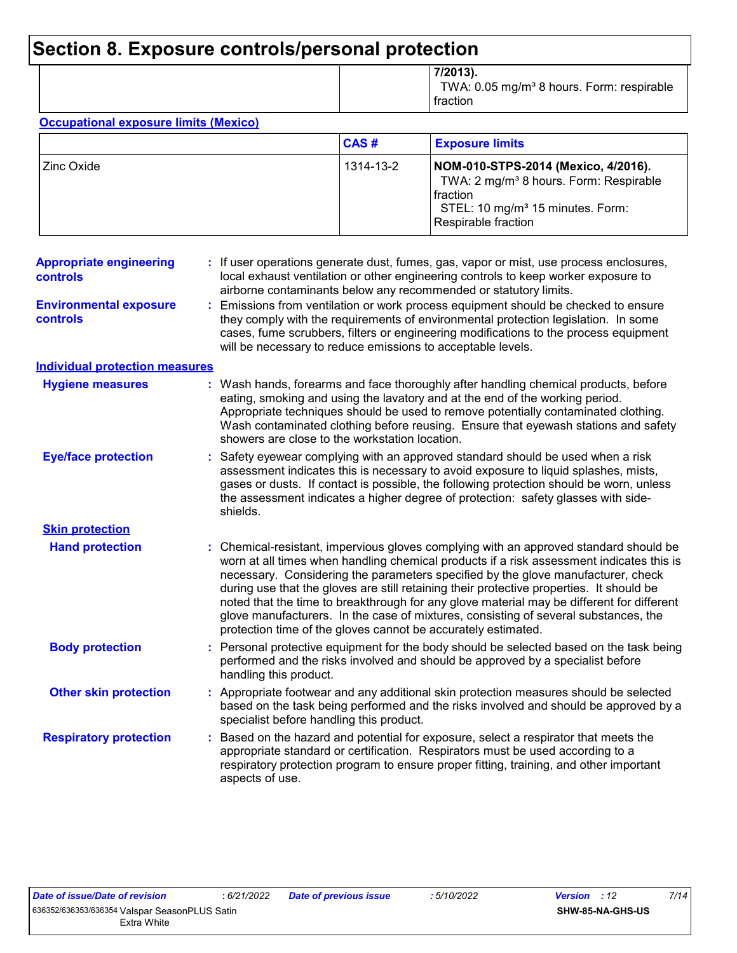## **Section 8. Exposure controls/personal protection**

|  | 7/2013).<br>TWA: 0.05 mg/m <sup>3</sup> 8 hours. Form: respirable<br>fraction |
|--|-------------------------------------------------------------------------------|
|--|-------------------------------------------------------------------------------|

#### **Occupational exposure limits (Mexico)**

|                | CAS#      | <b>Exposure limits</b>                                                                                                                                                              |
|----------------|-----------|-------------------------------------------------------------------------------------------------------------------------------------------------------------------------------------|
| l Zinc Oxide I | 1314-13-2 | NOM-010-STPS-2014 (Mexico, 4/2016).<br>TWA: 2 mg/m <sup>3</sup> 8 hours. Form: Respirable<br><b>fraction</b><br>STEL: 10 mg/m <sup>3</sup> 15 minutes. Form:<br>Respirable fraction |

| <b>Appropriate engineering</b><br>controls       | : If user operations generate dust, fumes, gas, vapor or mist, use process enclosures,<br>local exhaust ventilation or other engineering controls to keep worker exposure to<br>airborne contaminants below any recommended or statutory limits.                                                                                                                                                                                                                                                                                                                                                                       |  |
|--------------------------------------------------|------------------------------------------------------------------------------------------------------------------------------------------------------------------------------------------------------------------------------------------------------------------------------------------------------------------------------------------------------------------------------------------------------------------------------------------------------------------------------------------------------------------------------------------------------------------------------------------------------------------------|--|
| <b>Environmental exposure</b><br><b>controls</b> | Emissions from ventilation or work process equipment should be checked to ensure<br>they comply with the requirements of environmental protection legislation. In some<br>cases, fume scrubbers, filters or engineering modifications to the process equipment<br>will be necessary to reduce emissions to acceptable levels.                                                                                                                                                                                                                                                                                          |  |
| <b>Individual protection measures</b>            |                                                                                                                                                                                                                                                                                                                                                                                                                                                                                                                                                                                                                        |  |
| <b>Hygiene measures</b>                          | : Wash hands, forearms and face thoroughly after handling chemical products, before<br>eating, smoking and using the lavatory and at the end of the working period.<br>Appropriate techniques should be used to remove potentially contaminated clothing.<br>Wash contaminated clothing before reusing. Ensure that eyewash stations and safety<br>showers are close to the workstation location.                                                                                                                                                                                                                      |  |
| <b>Eye/face protection</b>                       | Safety eyewear complying with an approved standard should be used when a risk<br>assessment indicates this is necessary to avoid exposure to liquid splashes, mists,<br>gases or dusts. If contact is possible, the following protection should be worn, unless<br>the assessment indicates a higher degree of protection: safety glasses with side-<br>shields.                                                                                                                                                                                                                                                       |  |
| <b>Skin protection</b>                           |                                                                                                                                                                                                                                                                                                                                                                                                                                                                                                                                                                                                                        |  |
| <b>Hand protection</b>                           | : Chemical-resistant, impervious gloves complying with an approved standard should be<br>worn at all times when handling chemical products if a risk assessment indicates this is<br>necessary. Considering the parameters specified by the glove manufacturer, check<br>during use that the gloves are still retaining their protective properties. It should be<br>noted that the time to breakthrough for any glove material may be different for different<br>glove manufacturers. In the case of mixtures, consisting of several substances, the<br>protection time of the gloves cannot be accurately estimated. |  |
| <b>Body protection</b>                           | : Personal protective equipment for the body should be selected based on the task being<br>performed and the risks involved and should be approved by a specialist before<br>handling this product.                                                                                                                                                                                                                                                                                                                                                                                                                    |  |
| <b>Other skin protection</b>                     | : Appropriate footwear and any additional skin protection measures should be selected<br>based on the task being performed and the risks involved and should be approved by a<br>specialist before handling this product.                                                                                                                                                                                                                                                                                                                                                                                              |  |
| <b>Respiratory protection</b>                    | Based on the hazard and potential for exposure, select a respirator that meets the<br>appropriate standard or certification. Respirators must be used according to a<br>respiratory protection program to ensure proper fitting, training, and other important<br>aspects of use.                                                                                                                                                                                                                                                                                                                                      |  |
|                                                  |                                                                                                                                                                                                                                                                                                                                                                                                                                                                                                                                                                                                                        |  |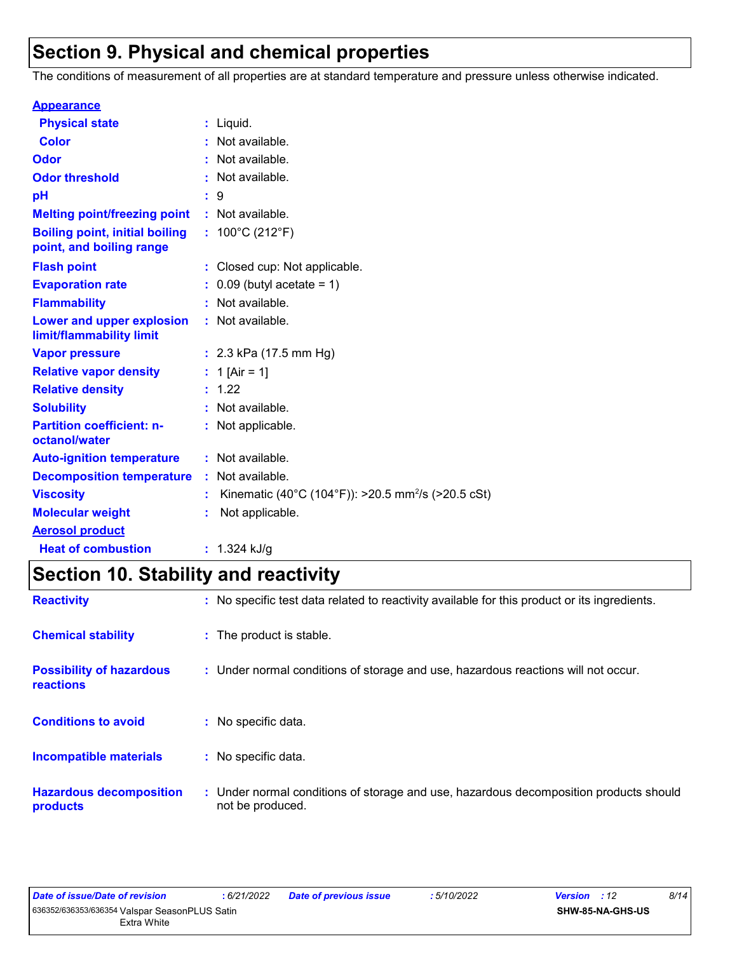## **Section 9. Physical and chemical properties**

The conditions of measurement of all properties are at standard temperature and pressure unless otherwise indicated.

| <b>Appearance</b>                                                 |                                                                |
|-------------------------------------------------------------------|----------------------------------------------------------------|
| <b>Physical state</b>                                             | $:$ Liquid.                                                    |
| <b>Color</b>                                                      | : Not available.                                               |
| Odor                                                              | : Not available.                                               |
| <b>Odor threshold</b>                                             | : Not available.                                               |
| pH                                                                | : 9                                                            |
| <b>Melting point/freezing point</b>                               | : Not available.                                               |
| <b>Boiling point, initial boiling</b><br>point, and boiling range | : $100^{\circ}$ C (212 $^{\circ}$ F)                           |
| <b>Flash point</b>                                                | : Closed cup: Not applicable.                                  |
| <b>Evaporation rate</b>                                           | $0.09$ (butyl acetate = 1)                                     |
| <b>Flammability</b>                                               | : Not available.                                               |
| Lower and upper explosion<br>limit/flammability limit             | : Not available.                                               |
| <b>Vapor pressure</b>                                             | : $2.3$ kPa (17.5 mm Hg)                                       |
| <b>Relative vapor density</b>                                     | : 1 [Air = 1]                                                  |
| <b>Relative density</b>                                           | : 1.22                                                         |
| <b>Solubility</b>                                                 | : Not available.                                               |
| <b>Partition coefficient: n-</b><br>octanol/water                 | : Not applicable.                                              |
| <b>Auto-ignition temperature</b>                                  | : Not available.                                               |
| <b>Decomposition temperature</b>                                  | : Not available.                                               |
| <b>Viscosity</b>                                                  | Kinematic (40°C (104°F)): >20.5 mm <sup>2</sup> /s (>20.5 cSt) |
| <b>Molecular weight</b>                                           | Not applicable.                                                |
| <b>Aerosol product</b>                                            |                                                                |
| <b>Heat of combustion</b>                                         | : $1.324$ kJ/g                                                 |

## **Section 10. Stability and reactivity**

| <b>Reactivity</b>                            | : No specific test data related to reactivity available for this product or its ingredients.              |  |
|----------------------------------------------|-----------------------------------------------------------------------------------------------------------|--|
| <b>Chemical stability</b>                    | : The product is stable.                                                                                  |  |
| <b>Possibility of hazardous</b><br>reactions | : Under normal conditions of storage and use, hazardous reactions will not occur.                         |  |
| <b>Conditions to avoid</b>                   | : No specific data.                                                                                       |  |
| Incompatible materials                       | : No specific data.                                                                                       |  |
| <b>Hazardous decomposition</b><br>products   | : Under normal conditions of storage and use, hazardous decomposition products should<br>not be produced. |  |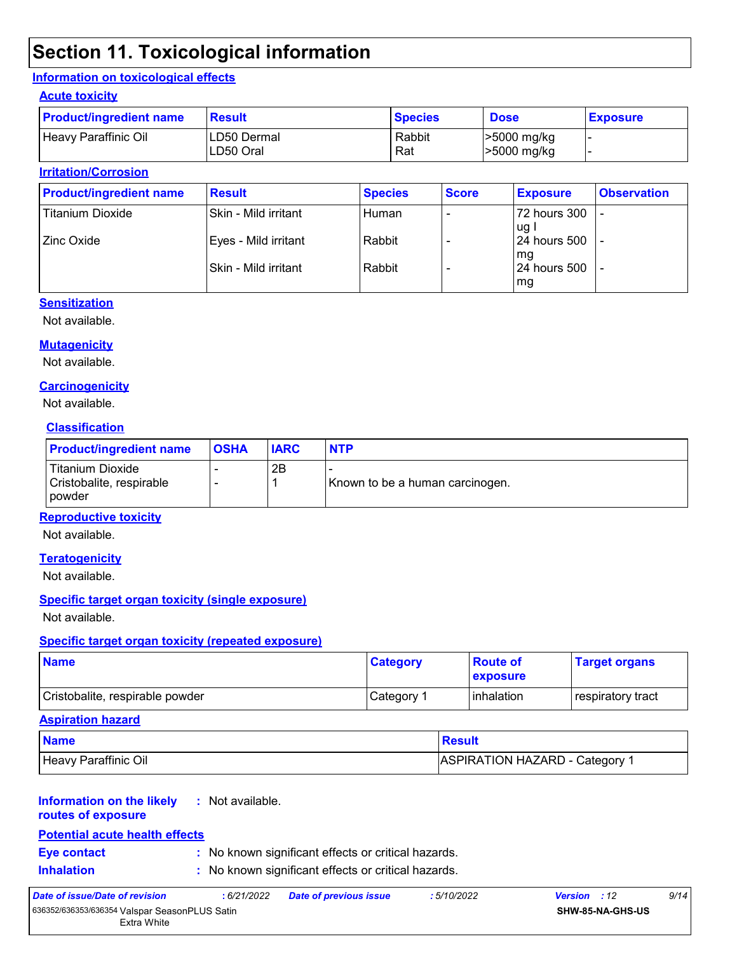## **Section 11. Toxicological information**

#### **Information on toxicological effects**

#### **Acute toxicity**

| <b>Product/ingredient name</b> | <b>Result</b>            | <b>Species</b> | <b>Dose</b>                | <b>Exposure</b> |
|--------------------------------|--------------------------|----------------|----------------------------|-----------------|
| Heavy Paraffinic Oil           | LD50 Dermal<br>LD50 Oral | Rabbit<br>Rat  | >5000 mg/kg<br>>5000 mg/kg |                 |

#### **Irritation/Corrosion**

| <b>Product/ingredient name</b> | <b>Result</b>          | <b>Species</b> | <b>Score</b> | <b>Exposure</b>           | <b>Observation</b> |
|--------------------------------|------------------------|----------------|--------------|---------------------------|--------------------|
| <b>Titanium Dioxide</b>        | Skin - Mild irritant   | Human          |              | 72 hours 300<br>ug l      | -                  |
| Zinc Oxide                     | Eyes - Mild irritant   | Rabbit         |              | l 24 hours 500            |                    |
|                                | l Skin - Mild irritant | Rabbit         |              | mg<br><b>24 hours 500</b> |                    |
|                                |                        |                |              | mg                        |                    |

#### **Sensitization**

Not available.

#### **Mutagenicity**

Not available.

#### **Carcinogenicity**

Not available.

#### **Classification**

| <b>Product/ingredient name</b>                         | <b>OSHA</b> | <b>IARC</b> | <b>NTP</b>                      |
|--------------------------------------------------------|-------------|-------------|---------------------------------|
| Titanium Dioxide<br>Cristobalite, respirable<br>powder |             | 2Β          | Known to be a human carcinogen. |

#### **Reproductive toxicity**

Not available.

#### **Teratogenicity**

Not available.

#### **Specific target organ toxicity (single exposure)**

Not available.

#### **Specific target organ toxicity (repeated exposure)**

| <b>Name</b>                     | <b>Category</b> | <b>Route of</b><br><b>Lexposure</b> | <b>Target organs</b> |
|---------------------------------|-----------------|-------------------------------------|----------------------|
| Cristobalite, respirable powder | Category 1      | <b>l</b> inhalation                 | respiratory tract    |

#### **Aspiration hazard**

| <b>Name</b>          | <b>Result</b>                |
|----------------------|------------------------------|
| Heavy Paraffinic Oil | ASPIRATION HAZARD - Category |

#### **Information on the likely :** Not available.

**routes of exposure**

#### **Potential acute health effects**

- 
- **Eye contact :** No known significant effects or critical hazards.
- **Inhalation :** No known significant effects or critical hazards.

| Date of issue/Date of revision                |  | : 6/21/2022 Date of previous issue | : 5/10/2022 | <b>Version</b> : 12     | 9/14 |
|-----------------------------------------------|--|------------------------------------|-------------|-------------------------|------|
| 636352/636353/636354 Valspar SeasonPLUS Satin |  |                                    |             | <b>SHW-85-NA-GHS-US</b> |      |
| Extra White                                   |  |                                    |             |                         |      |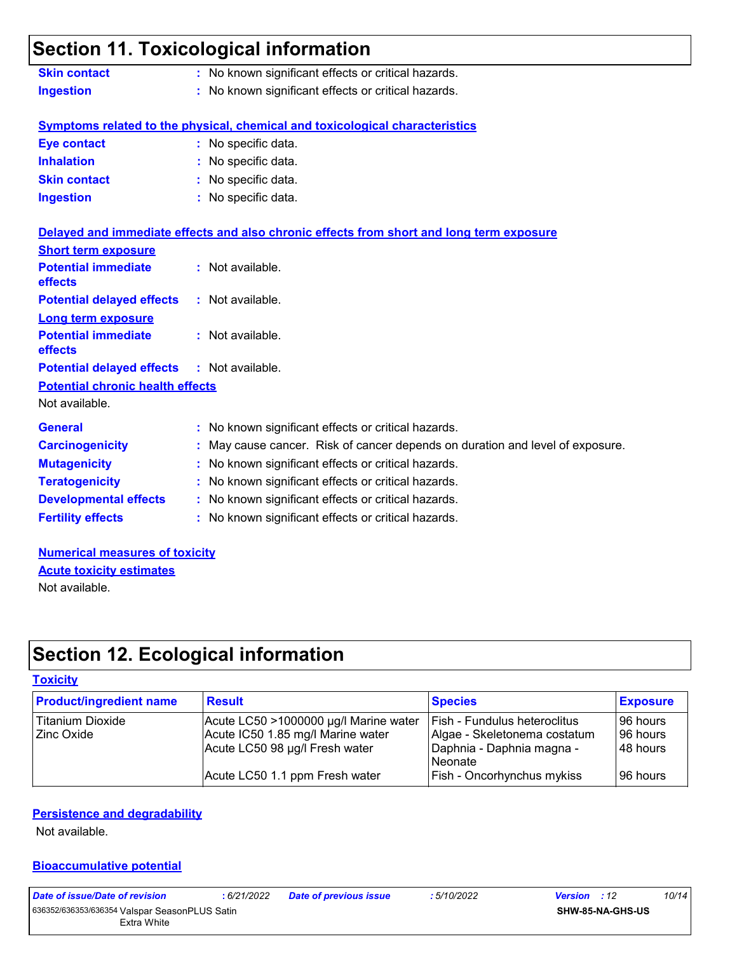### **Section 11. Toxicological information Skin contact :** No known significant effects or critical hazards.

**Ingestion :** No known significant effects or critical hazards.

#### **Symptoms related to the physical, chemical and toxicological characteristics**

| Eye contact         | : No specific data. |
|---------------------|---------------------|
| <b>Inhalation</b>   | : No specific data. |
| <b>Skin contact</b> | : No specific data. |
| <b>Ingestion</b>    | : No specific data. |

|                                                   | Delayed and immediate effects and also chronic effects from short and long term exposure |
|---------------------------------------------------|------------------------------------------------------------------------------------------|
| <b>Short term exposure</b>                        |                                                                                          |
| <b>Potential immediate</b><br><b>effects</b>      | : Not available.                                                                         |
| <b>Potential delayed effects : Not available.</b> |                                                                                          |
| <b>Long term exposure</b>                         |                                                                                          |
| <b>Potential immediate</b><br><b>effects</b>      | $:$ Not available.                                                                       |
| <b>Potential delayed effects : Not available.</b> |                                                                                          |
| <b>Potential chronic health effects</b>           |                                                                                          |
| Not available.                                    |                                                                                          |
| <b>General</b>                                    | : No known significant effects or critical hazards.                                      |
| <b>Carcinogenicity</b>                            | : May cause cancer. Risk of cancer depends on duration and level of exposure.            |
| <b>Mutagenicity</b>                               | : No known significant effects or critical hazards.                                      |
| <b>Teratogenicity</b>                             | : No known significant effects or critical hazards.                                      |
| <b>Developmental effects</b>                      | : No known significant effects or critical hazards.                                      |
| <b>Fertility effects</b>                          | : No known significant effects or critical hazards.                                      |

**Numerical measures of toxicity** Not available. **Acute toxicity estimates**

## **Section 12. Ecological information**

#### **Toxicity**

| <b>Product/ingredient name</b> | <b>Result</b>                         | <b>Species</b>                    | <b>Exposure</b> |
|--------------------------------|---------------------------------------|-----------------------------------|-----------------|
| Titanium Dioxide               | Acute LC50 >1000000 µg/l Marine water | Fish - Fundulus heteroclitus      | 196 hours       |
| <b>Zinc Oxide</b>              | Acute IC50 1.85 mg/l Marine water     | Algae - Skeletonema costatum      | 196 hours       |
|                                | Acute LC50 98 µg/l Fresh water        | Daphnia - Daphnia magna -         | 48 hours        |
|                                |                                       | Neonate                           |                 |
|                                | Acute LC50 1.1 ppm Fresh water        | <b>Fish - Oncorhynchus mykiss</b> | 196 hours       |

#### **Persistence and degradability**

Not available.

#### **Bioaccumulative potential**

| Date of issue/Date of revision |  |  |
|--------------------------------|--|--|
|--------------------------------|--|--|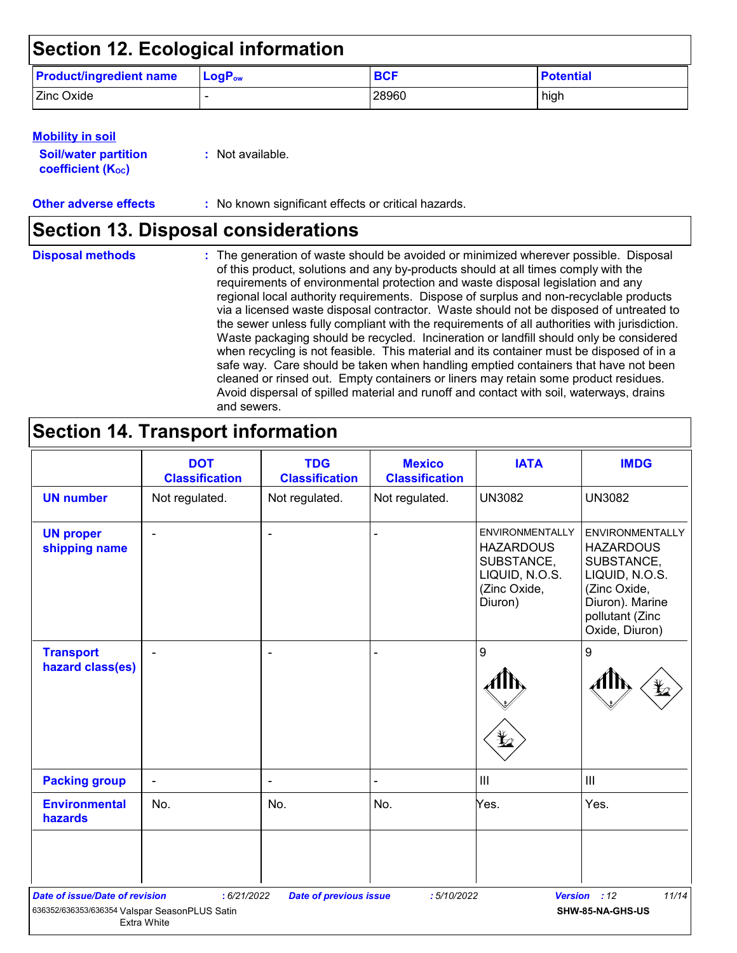## **Section 12. Ecological information**

| <b>Product/ingredient name</b> | $\mathsf{LogP}_\mathsf{ow}$ | <b>BCF</b> | <b>Potential</b> |
|--------------------------------|-----------------------------|------------|------------------|
| Zinc Oxide                     |                             | 28960      | high             |

#### **Mobility in soil**

| <b>Soil/water partition</b> |  |
|-----------------------------|--|
| <b>coefficient (Koc)</b>    |  |

**:** Not available.

**Other adverse effects** : No known significant effects or critical hazards.

### **Section 13. Disposal considerations**

The generation of waste should be avoided or minimized wherever possible. Disposal of this product, solutions and any by-products should at all times comply with the requirements of environmental protection and waste disposal legislation and any regional local authority requirements. Dispose of surplus and non-recyclable products via a licensed waste disposal contractor. Waste should not be disposed of untreated to the sewer unless fully compliant with the requirements of all authorities with jurisdiction. Waste packaging should be recycled. Incineration or landfill should only be considered when recycling is not feasible. This material and its container must be disposed of in a safe way. Care should be taken when handling emptied containers that have not been cleaned or rinsed out. Empty containers or liners may retain some product residues. Avoid dispersal of spilled material and runoff and contact with soil, waterways, drains and sewers. **Disposal methods :**

## **Section 14. Transport information**

|                                                                                        | <b>DOT</b><br><b>Classification</b> | <b>TDG</b><br><b>Classification</b> | <b>Mexico</b><br><b>Classification</b> | <b>IATA</b>                                                                                           | <b>IMDG</b>                                                                                                                                        |
|----------------------------------------------------------------------------------------|-------------------------------------|-------------------------------------|----------------------------------------|-------------------------------------------------------------------------------------------------------|----------------------------------------------------------------------------------------------------------------------------------------------------|
| <b>UN number</b>                                                                       | Not regulated.                      | Not regulated.                      | Not regulated.                         | <b>UN3082</b>                                                                                         | <b>UN3082</b>                                                                                                                                      |
| <b>UN proper</b><br>shipping name                                                      |                                     | ٠                                   |                                        | <b>ENVIRONMENTALLY</b><br><b>HAZARDOUS</b><br>SUBSTANCE,<br>LIQUID, N.O.S.<br>(Zinc Oxide,<br>Diuron) | <b>ENVIRONMENTALLY</b><br><b>HAZARDOUS</b><br>SUBSTANCE,<br>LIQUID, N.O.S.<br>(Zinc Oxide,<br>Diuron). Marine<br>pollutant (Zinc<br>Oxide, Diuron) |
| <b>Transport</b><br>hazard class(es)                                                   |                                     |                                     |                                        | 9                                                                                                     | $\boldsymbol{9}$                                                                                                                                   |
| <b>Packing group</b>                                                                   | $\blacksquare$                      | $\blacksquare$                      |                                        | $\ensuremath{\mathsf{III}}\xspace$                                                                    | III                                                                                                                                                |
| <b>Environmental</b><br>hazards                                                        | No.                                 | No.                                 | No.                                    | Yes.                                                                                                  | Yes.                                                                                                                                               |
| <b>Date of issue/Date of revision</b><br>636352/636353/636354 Valspar SeasonPLUS Satin | : 6/21/2022<br>Extra White          | <b>Date of previous issue</b>       | : 5/10/2022                            | <b>Version</b>                                                                                        | 11/14<br>: 12<br>SHW-85-NA-GHS-US                                                                                                                  |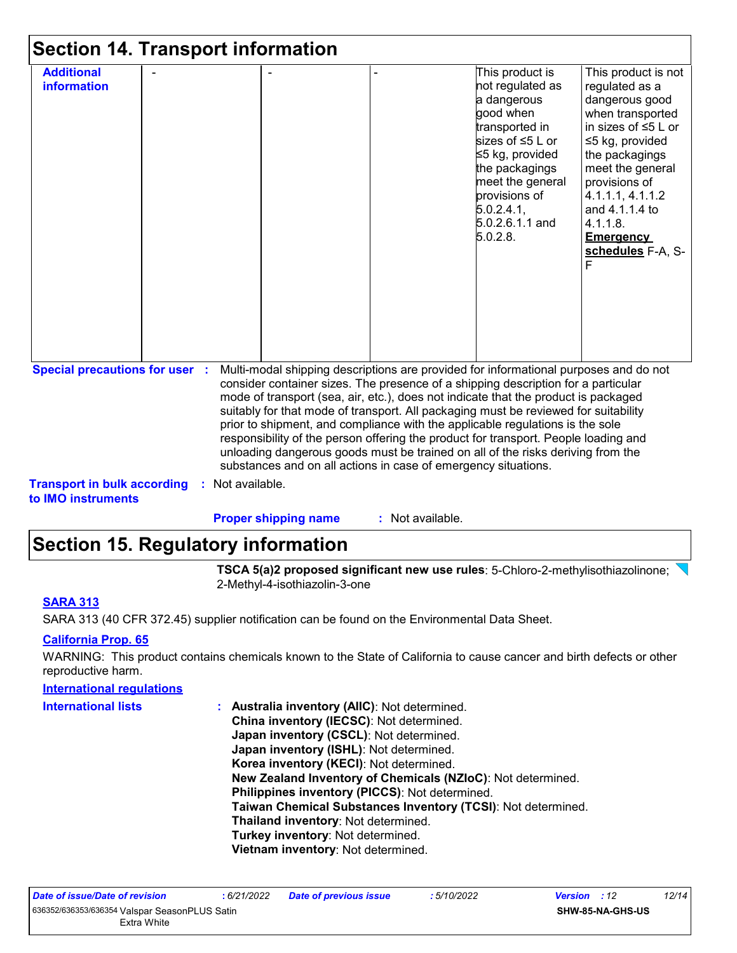| <b>Section 14. Transport information</b>                 |                  |                             |                                                                                                                                                                                                                                                                                                                                                                                                                                                                                                                                                                                                                                                                                     |                                                                                                                                                                                                                               |                                                                                                                                                                                                                                                                                    |
|----------------------------------------------------------|------------------|-----------------------------|-------------------------------------------------------------------------------------------------------------------------------------------------------------------------------------------------------------------------------------------------------------------------------------------------------------------------------------------------------------------------------------------------------------------------------------------------------------------------------------------------------------------------------------------------------------------------------------------------------------------------------------------------------------------------------------|-------------------------------------------------------------------------------------------------------------------------------------------------------------------------------------------------------------------------------|------------------------------------------------------------------------------------------------------------------------------------------------------------------------------------------------------------------------------------------------------------------------------------|
| <b>Additional</b><br>information                         |                  |                             |                                                                                                                                                                                                                                                                                                                                                                                                                                                                                                                                                                                                                                                                                     | This product is<br>not regulated as<br>a dangerous<br>good when<br>transported in<br>sizes of ≤5 L or<br>≤5 kg, provided<br>the packagings<br>meet the general<br>provisions of<br>5.0.2.4.1<br>$5.0.2.6.1.1$ and<br>5.0.2.8. | This product is not<br>regulated as a<br>dangerous good<br>when transported<br>in sizes of $\leq 5$ L or<br>≤5 kg, provided<br>the packagings<br>meet the general<br>provisions of<br>4.1.1.1, 4.1.1.2<br>and 4.1.1.4 to<br>4.1.1.8.<br><b>Emergency</b><br>schedules F-A, S-<br>F |
| <b>Special precautions for user :</b>                    |                  |                             | Multi-modal shipping descriptions are provided for informational purposes and do not<br>consider container sizes. The presence of a shipping description for a particular<br>mode of transport (sea, air, etc.), does not indicate that the product is packaged<br>suitably for that mode of transport. All packaging must be reviewed for suitability<br>prior to shipment, and compliance with the applicable regulations is the sole<br>responsibility of the person offering the product for transport. People loading and<br>unloading dangerous goods must be trained on all of the risks deriving from the<br>substances and on all actions in case of emergency situations. |                                                                                                                                                                                                                               |                                                                                                                                                                                                                                                                                    |
| <b>Transport in bulk according</b><br>to IMO instruments | : Not available. |                             |                                                                                                                                                                                                                                                                                                                                                                                                                                                                                                                                                                                                                                                                                     |                                                                                                                                                                                                                               |                                                                                                                                                                                                                                                                                    |
|                                                          |                  | <b>Proper shipping name</b> | : Not available.                                                                                                                                                                                                                                                                                                                                                                                                                                                                                                                                                                                                                                                                    |                                                                                                                                                                                                                               |                                                                                                                                                                                                                                                                                    |

## **Section 15. Regulatory information**

**TSCA 5(a)2 proposed significant new use rules**: 5-Chloro-2-methylisothiazolinone; \ 2-Methyl-4-isothiazolin-3-one

#### **SARA 313**

SARA 313 (40 CFR 372.45) supplier notification can be found on the Environmental Data Sheet.

#### **California Prop. 65**

WARNING: This product contains chemicals known to the State of California to cause cancer and birth defects or other reproductive harm.

| <b>International regulations</b> |                                                              |
|----------------------------------|--------------------------------------------------------------|
| <b>International lists</b>       | : Australia inventory (AIIC): Not determined.                |
|                                  | China inventory (IECSC): Not determined.                     |
|                                  | Japan inventory (CSCL): Not determined.                      |
|                                  | Japan inventory (ISHL): Not determined.                      |
|                                  | Korea inventory (KECI): Not determined.                      |
|                                  | New Zealand Inventory of Chemicals (NZIoC): Not determined.  |
|                                  | Philippines inventory (PICCS): Not determined.               |
|                                  | Taiwan Chemical Substances Inventory (TCSI): Not determined. |
|                                  | Thailand inventory: Not determined.                          |
|                                  | Turkey inventory: Not determined.                            |
|                                  | Vietnam inventory: Not determined.                           |
|                                  |                                                              |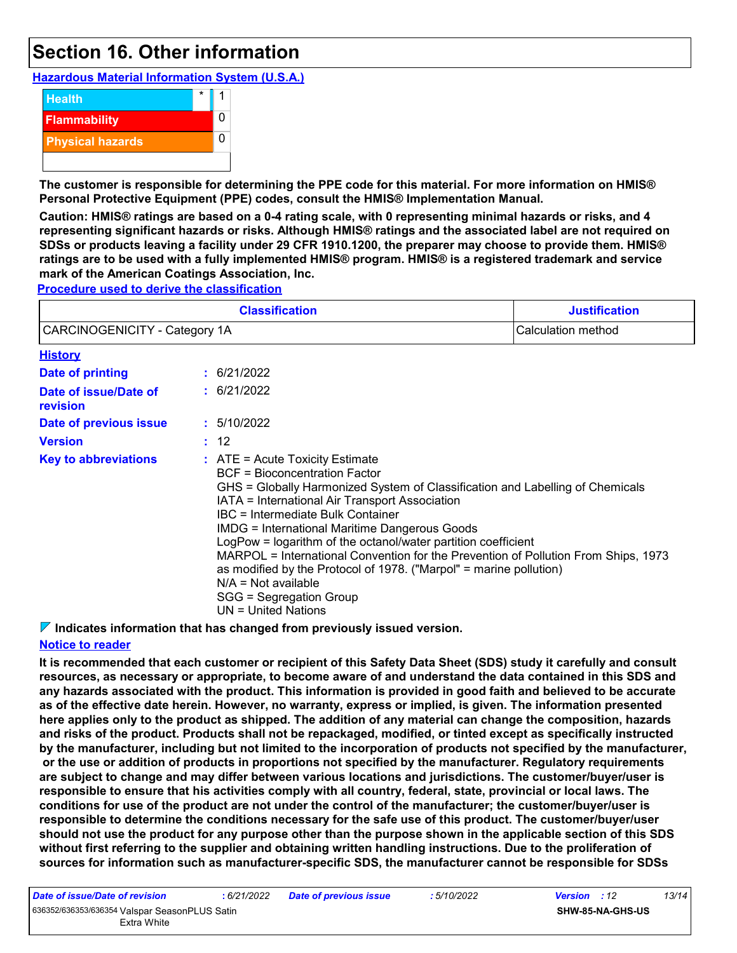## **Section 16. Other information**

**Hazardous Material Information System (U.S.A.)**



**The customer is responsible for determining the PPE code for this material. For more information on HMIS® Personal Protective Equipment (PPE) codes, consult the HMIS® Implementation Manual.**

**Caution: HMIS® ratings are based on a 0-4 rating scale, with 0 representing minimal hazards or risks, and 4 representing significant hazards or risks. Although HMIS® ratings and the associated label are not required on SDSs or products leaving a facility under 29 CFR 1910.1200, the preparer may choose to provide them. HMIS® ratings are to be used with a fully implemented HMIS® program. HMIS® is a registered trademark and service mark of the American Coatings Association, Inc.**

**Procedure used to derive the classification**

|                                                                                                                                                                                                                                                                                                      |  | <b>Classification</b>                                                                                                                                                                                                                                                                                                               | <b>Justification</b> |
|------------------------------------------------------------------------------------------------------------------------------------------------------------------------------------------------------------------------------------------------------------------------------------------------------|--|-------------------------------------------------------------------------------------------------------------------------------------------------------------------------------------------------------------------------------------------------------------------------------------------------------------------------------------|----------------------|
| CARCINOGENICITY - Category 1A                                                                                                                                                                                                                                                                        |  |                                                                                                                                                                                                                                                                                                                                     | Calculation method   |
| <b>History</b>                                                                                                                                                                                                                                                                                       |  |                                                                                                                                                                                                                                                                                                                                     |                      |
| <b>Date of printing</b>                                                                                                                                                                                                                                                                              |  | $\pm$ 6/21/2022                                                                                                                                                                                                                                                                                                                     |                      |
| Date of issue/Date of<br>revision                                                                                                                                                                                                                                                                    |  | : 6/21/2022                                                                                                                                                                                                                                                                                                                         |                      |
| Date of previous issue                                                                                                                                                                                                                                                                               |  | : 5/10/2022                                                                                                                                                                                                                                                                                                                         |                      |
| <b>Version</b>                                                                                                                                                                                                                                                                                       |  | : 12                                                                                                                                                                                                                                                                                                                                |                      |
| <b>Key to abbreviations</b><br>$:$ ATE = Acute Toxicity Estimate<br>BCF = Bioconcentration Factor<br>IATA = International Air Transport Association<br>IBC = Intermediate Bulk Container<br><b>IMDG = International Maritime Dangerous Goods</b><br>$N/A = Not available$<br>SGG = Segregation Group |  | GHS = Globally Harmonized System of Classification and Labelling of Chemicals<br>LogPow = logarithm of the octanol/water partition coefficient<br>MARPOL = International Convention for the Prevention of Pollution From Ships, 1973<br>as modified by the Protocol of 1978. ("Marpol" = marine pollution)<br>$UN = United Nations$ |                      |

**Indicates information that has changed from previously issued version.**

#### **Notice to reader**

**It is recommended that each customer or recipient of this Safety Data Sheet (SDS) study it carefully and consult resources, as necessary or appropriate, to become aware of and understand the data contained in this SDS and any hazards associated with the product. This information is provided in good faith and believed to be accurate as of the effective date herein. However, no warranty, express or implied, is given. The information presented here applies only to the product as shipped. The addition of any material can change the composition, hazards and risks of the product. Products shall not be repackaged, modified, or tinted except as specifically instructed by the manufacturer, including but not limited to the incorporation of products not specified by the manufacturer, or the use or addition of products in proportions not specified by the manufacturer. Regulatory requirements are subject to change and may differ between various locations and jurisdictions. The customer/buyer/user is responsible to ensure that his activities comply with all country, federal, state, provincial or local laws. The conditions for use of the product are not under the control of the manufacturer; the customer/buyer/user is responsible to determine the conditions necessary for the safe use of this product. The customer/buyer/user should not use the product for any purpose other than the purpose shown in the applicable section of this SDS without first referring to the supplier and obtaining written handling instructions. Due to the proliferation of sources for information such as manufacturer-specific SDS, the manufacturer cannot be responsible for SDSs** 

| Date of issue/Date of revision                | :6/21/2022 |  |
|-----------------------------------------------|------------|--|
| 636352/636353/636354 Valspar SeasonPLUS Satin |            |  |
| Extra White                                   |            |  |